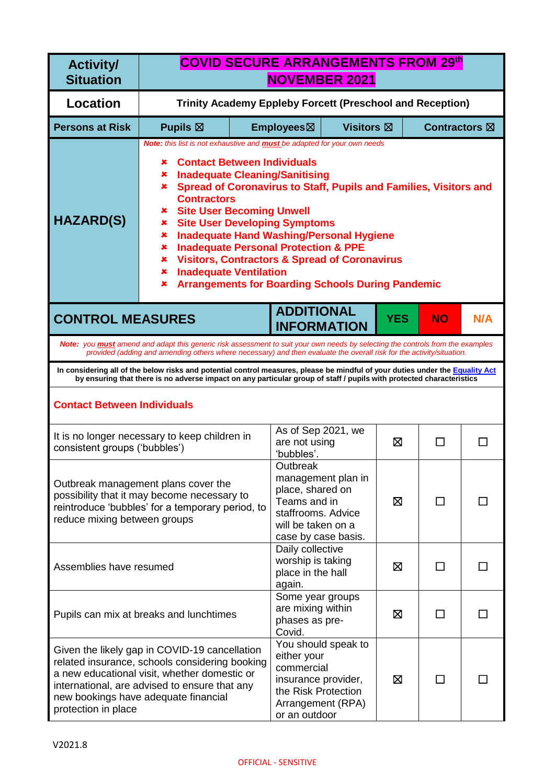| <b>Activity/</b><br><b>Situation</b> | <b>COVID SECURE ARRANGEMENTS FROM 29th</b><br><b>NOVEMBER 2021</b>                                                                                                                                                                                                                                                                                                                                                                                                                                                                                                                                                                                     |  |                                                                                                                 |                     |            |                         |              |
|--------------------------------------|--------------------------------------------------------------------------------------------------------------------------------------------------------------------------------------------------------------------------------------------------------------------------------------------------------------------------------------------------------------------------------------------------------------------------------------------------------------------------------------------------------------------------------------------------------------------------------------------------------------------------------------------------------|--|-----------------------------------------------------------------------------------------------------------------|---------------------|------------|-------------------------|--------------|
| <b>Location</b>                      | Trinity Academy Eppleby Forcett (Preschool and Reception)                                                                                                                                                                                                                                                                                                                                                                                                                                                                                                                                                                                              |  |                                                                                                                 |                     |            |                         |              |
| <b>Persons at Risk</b>               | Pupils $\boxtimes$                                                                                                                                                                                                                                                                                                                                                                                                                                                                                                                                                                                                                                     |  | Employees⊠                                                                                                      | <b>Visitors</b> ⊠   |            | Contractors $\boxtimes$ |              |
| <b>HAZARD(S)</b>                     | Note: this list is not exhaustive and <b>must</b> be adapted for your own needs<br><b>Contact Between Individuals</b><br>x<br><b>Inadequate Cleaning/Sanitising</b><br>×<br>Spread of Coronavirus to Staff, Pupils and Families, Visitors and<br>×<br><b>Contractors</b><br><b>Site User Becoming Unwell</b><br>×<br><b>Site User Developing Symptoms</b><br>×<br><b>Inadequate Hand Washing/Personal Hygiene</b><br>×<br><b>Inadequate Personal Protection &amp; PPE</b><br>×<br><b>Visitors, Contractors &amp; Spread of Coronavirus</b><br>×<br><b>Inadequate Ventilation</b><br>×<br><b>Arrangements for Boarding Schools During Pandemic</b><br>× |  |                                                                                                                 |                     |            |                         |              |
| <b>CONTROL MEASURES</b>              |                                                                                                                                                                                                                                                                                                                                                                                                                                                                                                                                                                                                                                                        |  | <b>ADDITIONAL</b><br><b>INFORMATION</b>                                                                         |                     | <b>YES</b> | <b>NO</b>               | N/A          |
|                                      | Note: you <b>must</b> amend and adapt this generic risk assessment to suit your own needs by selecting the controls from the examples<br>provided (adding and amending others where necessary) and then evaluate the overall risk for the activity/situation.                                                                                                                                                                                                                                                                                                                                                                                          |  |                                                                                                                 |                     |            |                         |              |
|                                      | In considering all of the below risks and potential control measures, please be mindful of your duties under the Equality Act<br>by ensuring that there is no adverse impact on any particular group of staff / pupils with protected characteristics                                                                                                                                                                                                                                                                                                                                                                                                  |  |                                                                                                                 |                     |            |                         |              |
| <b>Contact Between Individuals</b>   |                                                                                                                                                                                                                                                                                                                                                                                                                                                                                                                                                                                                                                                        |  |                                                                                                                 |                     |            |                         |              |
| consistent groups ('bubbles')        | It is no longer necessary to keep children in                                                                                                                                                                                                                                                                                                                                                                                                                                                                                                                                                                                                          |  | As of Sep 2021, we<br>are not using<br>'bubbles'.                                                               |                     | 区          | П                       | $\mathsf{L}$ |
| reduce mixing between groups         | Outbreak management plans cover the<br>possibility that it may become necessary to<br>reintroduce 'bubbles' for a temporary period, to                                                                                                                                                                                                                                                                                                                                                                                                                                                                                                                 |  | Outbreak<br>place, shared on<br>Teams and in<br>staffrooms. Advice<br>will be taken on a<br>case by case basis. | management plan in  | ⊠          | ΙI                      |              |
| Assemblies have resumed              |                                                                                                                                                                                                                                                                                                                                                                                                                                                                                                                                                                                                                                                        |  | Daily collective<br>worship is taking<br>place in the hall<br>again.                                            |                     | 区          | ΙI                      |              |
|                                      | Pupils can mix at breaks and lunchtimes                                                                                                                                                                                                                                                                                                                                                                                                                                                                                                                                                                                                                |  | Some year groups<br>are mixing within<br>phases as pre-<br>Covid.                                               |                     | ⊠          | П                       |              |
| protection in place                  | Given the likely gap in COVID-19 cancellation<br>related insurance, schools considering booking<br>a new educational visit, whether domestic or<br>international, are advised to ensure that any<br>new bookings have adequate financial                                                                                                                                                                                                                                                                                                                                                                                                               |  | either your<br>commercial<br>insurance provider,<br>the Risk Protection<br>Arrangement (RPA)<br>or an outdoor   | You should speak to | ⊠          | ΙI                      |              |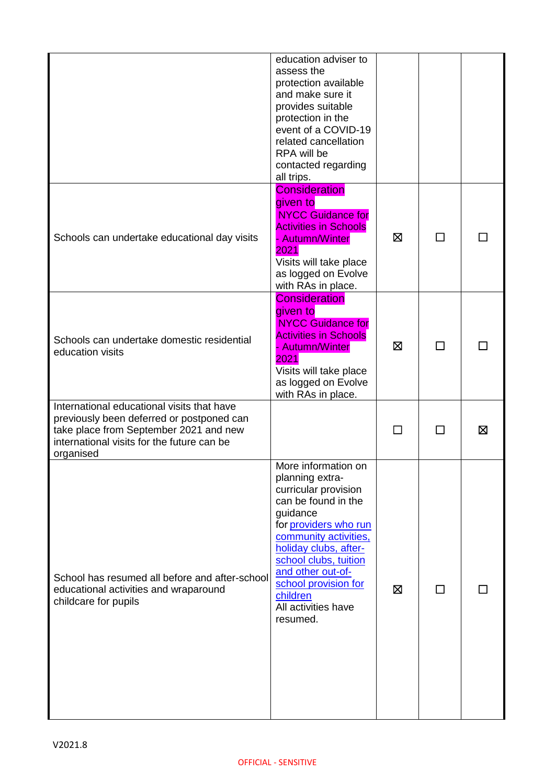|                                                                                                                                                                                              | education adviser to<br>assess the<br>protection available<br>and make sure it<br>provides suitable<br>protection in the<br>event of a COVID-19<br>related cancellation<br>RPA will be<br>contacted regarding<br>all trips.                                                                       |   |              |   |
|----------------------------------------------------------------------------------------------------------------------------------------------------------------------------------------------|---------------------------------------------------------------------------------------------------------------------------------------------------------------------------------------------------------------------------------------------------------------------------------------------------|---|--------------|---|
| Schools can undertake educational day visits                                                                                                                                                 | <b>Consideration</b><br>given to<br><b>NYCC Guidance for</b><br><b>Activities in Schools</b><br>- Autumn/Winter<br>2021<br>Visits will take place<br>as logged on Evolve<br>with RAs in place.                                                                                                    | ⊠ | $\mathbf{I}$ |   |
| Schools can undertake domestic residential<br>education visits                                                                                                                               | <b>Consideration</b><br>given to<br><b>NYCC Guidance for</b><br><b>Activities in Schools</b><br>- Autumn/Winter<br>2021<br>Visits will take place<br>as logged on Evolve<br>with RAs in place.                                                                                                    | 区 | ΙI           |   |
| International educational visits that have<br>previously been deferred or postponed can<br>take place from September 2021 and new<br>international visits for the future can be<br>organised |                                                                                                                                                                                                                                                                                                   |   |              | ⊠ |
| School has resumed all before and after-school<br>educational activities and wraparound<br>childcare for pupils                                                                              | More information on<br>planning extra-<br>curricular provision<br>can be found in the<br>guidance<br>for providers who run<br>community activities,<br>holiday clubs, after-<br>school clubs, tuition<br>and other out-of-<br>school provision for<br>children<br>All activities have<br>resumed. | ⊠ | $\mathbf{I}$ |   |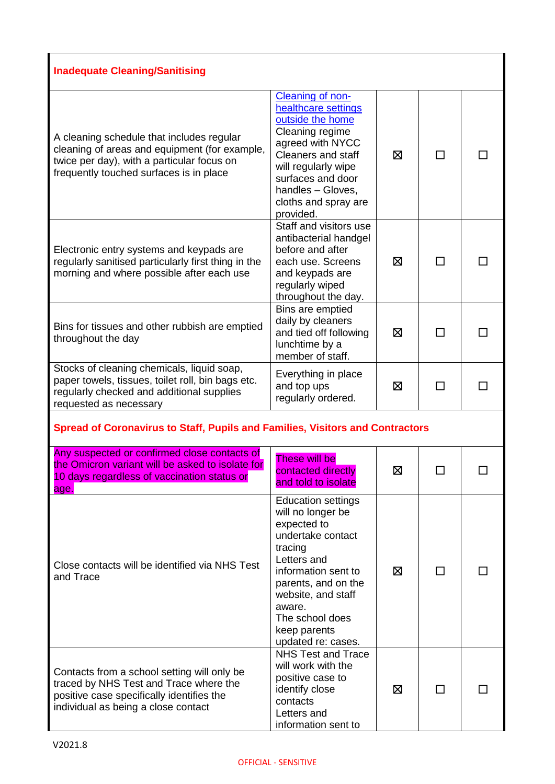| <b>Inadequate Cleaning/Sanitising</b>                                                                                                                                               |                                                                                                                                                                                                                                                     |   |                |  |
|-------------------------------------------------------------------------------------------------------------------------------------------------------------------------------------|-----------------------------------------------------------------------------------------------------------------------------------------------------------------------------------------------------------------------------------------------------|---|----------------|--|
| A cleaning schedule that includes regular<br>cleaning of areas and equipment (for example,<br>twice per day), with a particular focus on<br>frequently touched surfaces is in place | Cleaning of non-<br>healthcare settings<br>outside the home<br>Cleaning regime<br>agreed with NYCC<br><b>Cleaners and staff</b><br>will regularly wipe<br>surfaces and door<br>handles - Gloves,<br>cloths and spray are<br>provided.               | 冈 | П              |  |
| Electronic entry systems and keypads are<br>regularly sanitised particularly first thing in the<br>morning and where possible after each use                                        | Staff and visitors use<br>antibacterial handgel<br>before and after<br>each use. Screens<br>and keypads are<br>regularly wiped<br>throughout the day.                                                                                               | ⊠ | $\Box$         |  |
| Bins for tissues and other rubbish are emptied<br>throughout the day                                                                                                                | Bins are emptied<br>daily by cleaners<br>and tied off following<br>lunchtime by a<br>member of staff.                                                                                                                                               | ⊠ | $\blacksquare$ |  |
| Stocks of cleaning chemicals, liquid soap,<br>paper towels, tissues, toilet roll, bin bags etc.<br>regularly checked and additional supplies<br>requested as necessary              | Everything in place<br>and top ups<br>regularly ordered.                                                                                                                                                                                            | ⊠ |                |  |
| <b>Spread of Coronavirus to Staff, Pupils and Families, Visitors and Contractors</b>                                                                                                |                                                                                                                                                                                                                                                     |   |                |  |
| Any suspected or confirmed close contacts of<br>the Omicron variant will be asked to isolate for<br>10 days regardless of vaccination status or<br>age.                             | These will be<br>contacted directly<br>and told to isolate                                                                                                                                                                                          | ⊠ |                |  |
| Close contacts will be identified via NHS Test<br>and Trace                                                                                                                         | <b>Education settings</b><br>will no longer be<br>expected to<br>undertake contact<br>tracing<br>Letters and<br>information sent to<br>parents, and on the<br>website, and staff<br>aware.<br>The school does<br>keep parents<br>updated re: cases. | ⊠ | $\mathsf{L}$   |  |
| Contacts from a school setting will only be<br>traced by NHS Test and Trace where the<br>positive case specifically identifies the                                                  | <b>NHS Test and Trace</b><br>will work with the<br>positive case to<br>identify close                                                                                                                                                               | 区 |                |  |

positive case specifically identifies the individual as being a close contact

contacts Letters and

information sent to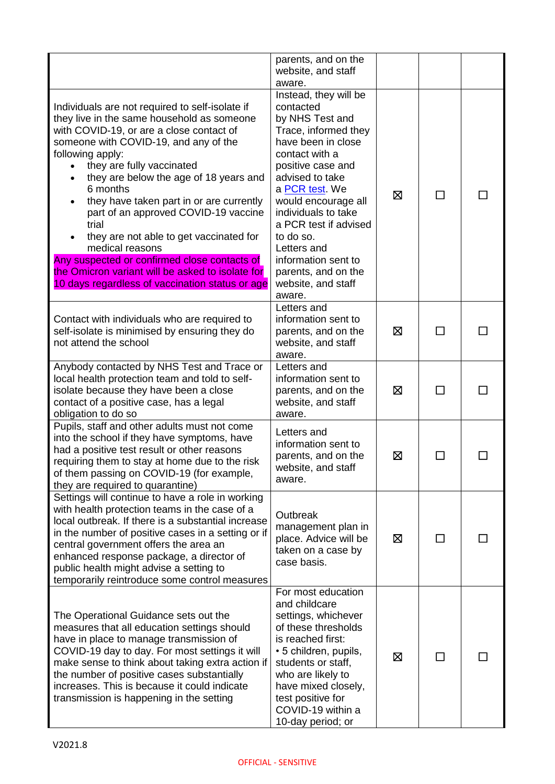|                                                                                                                                                                                                                                                                                                                                                                                                                                                                                                                                                                                                             | parents, and on the<br>website, and staff<br>aware.                                                                                                                                                                                                                                                                                                              |   |        |  |
|-------------------------------------------------------------------------------------------------------------------------------------------------------------------------------------------------------------------------------------------------------------------------------------------------------------------------------------------------------------------------------------------------------------------------------------------------------------------------------------------------------------------------------------------------------------------------------------------------------------|------------------------------------------------------------------------------------------------------------------------------------------------------------------------------------------------------------------------------------------------------------------------------------------------------------------------------------------------------------------|---|--------|--|
| Individuals are not required to self-isolate if<br>they live in the same household as someone<br>with COVID-19, or are a close contact of<br>someone with COVID-19, and any of the<br>following apply:<br>they are fully vaccinated<br>they are below the age of 18 years and<br>6 months<br>they have taken part in or are currently<br>part of an approved COVID-19 vaccine<br>trial<br>they are not able to get vaccinated for<br>medical reasons<br>Any suspected or confirmed close contacts of<br>the Omicron variant will be asked to isolate for<br>10 days regardless of vaccination status or age | Instead, they will be<br>contacted<br>by NHS Test and<br>Trace, informed they<br>have been in close<br>contact with a<br>positive case and<br>advised to take<br>a PCR test. We<br>would encourage all<br>individuals to take<br>a PCR test if advised<br>to do so.<br>Letters and<br>information sent to<br>parents, and on the<br>website, and staff<br>aware. | ⊠ | П      |  |
| Contact with individuals who are required to<br>self-isolate is minimised by ensuring they do<br>not attend the school                                                                                                                                                                                                                                                                                                                                                                                                                                                                                      | Letters and<br>information sent to<br>parents, and on the<br>website, and staff<br>aware.                                                                                                                                                                                                                                                                        | ⊠ |        |  |
| Anybody contacted by NHS Test and Trace or<br>local health protection team and told to self-<br>isolate because they have been a close<br>contact of a positive case, has a legal<br>obligation to do so                                                                                                                                                                                                                                                                                                                                                                                                    | Letters and<br>information sent to<br>parents, and on the<br>website, and staff<br>aware.                                                                                                                                                                                                                                                                        | ⊠ | П      |  |
| Pupils, staff and other adults must not come<br>into the school if they have symptoms, have<br>had a positive test result or other reasons<br>requiring them to stay at home due to the risk<br>of them passing on COVID-19 (for example,<br>they are required to quarantine)                                                                                                                                                                                                                                                                                                                               | Letters and<br>information sent to<br>parents, and on the<br>website, and staff<br>aware.                                                                                                                                                                                                                                                                        | ⊠ |        |  |
| Settings will continue to have a role in working<br>with health protection teams in the case of a<br>local outbreak. If there is a substantial increase<br>in the number of positive cases in a setting or if<br>central government offers the area an<br>enhanced response package, a director of<br>public health might advise a setting to<br>temporarily reintroduce some control measures                                                                                                                                                                                                              | Outbreak<br>management plan in<br>place. Advice will be<br>taken on a case by<br>case basis.                                                                                                                                                                                                                                                                     | ⊠ | П      |  |
| The Operational Guidance sets out the<br>measures that all education settings should<br>have in place to manage transmission of<br>COVID-19 day to day. For most settings it will<br>make sense to think about taking extra action if<br>the number of positive cases substantially<br>increases. This is because it could indicate<br>transmission is happening in the setting                                                                                                                                                                                                                             | For most education<br>and childcare<br>settings, whichever<br>of these thresholds<br>is reached first:<br>• 5 children, pupils,<br>students or staff,<br>who are likely to<br>have mixed closely,<br>test positive for<br>COVID-19 within a<br>10-day period; or                                                                                                 | ⊠ | $\Box$ |  |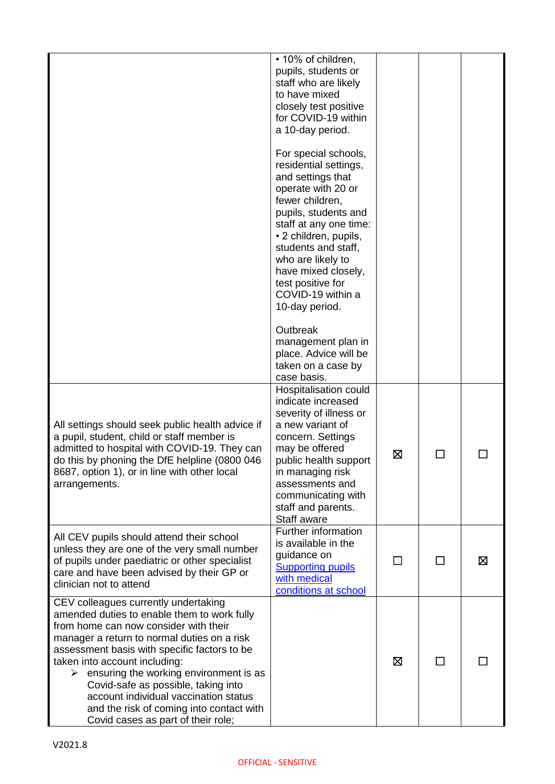|                                                                                                                                                                                                                                                                                                                                                                                                                                                                               | • 10% of children,<br>pupils, students or<br>staff who are likely<br>to have mixed<br>closely test positive<br>for COVID-19 within<br>a 10-day period.                                                                                                                                                                |              |        |   |
|-------------------------------------------------------------------------------------------------------------------------------------------------------------------------------------------------------------------------------------------------------------------------------------------------------------------------------------------------------------------------------------------------------------------------------------------------------------------------------|-----------------------------------------------------------------------------------------------------------------------------------------------------------------------------------------------------------------------------------------------------------------------------------------------------------------------|--------------|--------|---|
|                                                                                                                                                                                                                                                                                                                                                                                                                                                                               | For special schools,<br>residential settings,<br>and settings that<br>operate with 20 or<br>fewer children,<br>pupils, students and<br>staff at any one time:<br>• 2 children, pupils,<br>students and staff,<br>who are likely to<br>have mixed closely,<br>test positive for<br>COVID-19 within a<br>10-day period. |              |        |   |
|                                                                                                                                                                                                                                                                                                                                                                                                                                                                               | Outbreak<br>management plan in<br>place. Advice will be<br>taken on a case by<br>case basis.                                                                                                                                                                                                                          |              |        |   |
| All settings should seek public health advice if<br>a pupil, student, child or staff member is<br>admitted to hospital with COVID-19. They can<br>do this by phoning the DfE helpline (0800 046<br>8687, option 1), or in line with other local<br>arrangements.                                                                                                                                                                                                              | Hospitalisation could<br>indicate increased<br>severity of illness or<br>a new variant of<br>concern. Settings<br>may be offered<br>public health support<br>in managing risk<br>assessments and<br>communicating with<br>staff and parents.<br>Staff aware                                                           | ⊠            | $\Box$ |   |
| All CEV pupils should attend their school<br>unless they are one of the very small number<br>of pupils under paediatric or other specialist<br>care and have been advised by their GP or<br>clinician not to attend                                                                                                                                                                                                                                                           | Further information<br>is available in the<br>guidance on<br><b>Supporting pupils</b><br>with medical<br>conditions at school                                                                                                                                                                                         | $\mathbf{I}$ | ΙI     | ⊠ |
| CEV colleagues currently undertaking<br>amended duties to enable them to work fully<br>from home can now consider with their<br>manager a return to normal duties on a risk<br>assessment basis with specific factors to be<br>taken into account including:<br>ensuring the working environment is as<br>➤<br>Covid-safe as possible, taking into<br>account individual vaccination status<br>and the risk of coming into contact with<br>Covid cases as part of their role; |                                                                                                                                                                                                                                                                                                                       | ⊠            | ΙI     |   |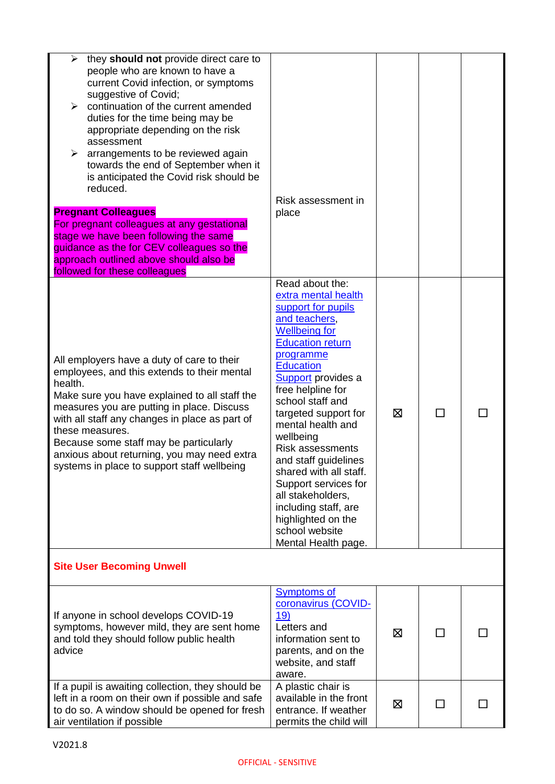| they should not provide direct care to<br>➤<br>people who are known to have a<br>current Covid infection, or symptoms<br>suggestive of Covid;<br>continuation of the current amended<br>⋗<br>duties for the time being may be<br>appropriate depending on the risk<br>assessment<br>arrangements to be reviewed again<br>towards the end of September when it<br>is anticipated the Covid risk should be<br>reduced.<br><b>Pregnant Colleagues</b><br>For pregnant colleagues at any gestational<br>stage we have been following the same<br>guidance as the for CEV colleagues so the<br>approach outlined above should also be<br>followed for these colleagues | Risk assessment in<br>place                                                                                                                                                                                                                                                                                                                                                                                                                                                                                        |   |    |  |
|-------------------------------------------------------------------------------------------------------------------------------------------------------------------------------------------------------------------------------------------------------------------------------------------------------------------------------------------------------------------------------------------------------------------------------------------------------------------------------------------------------------------------------------------------------------------------------------------------------------------------------------------------------------------|--------------------------------------------------------------------------------------------------------------------------------------------------------------------------------------------------------------------------------------------------------------------------------------------------------------------------------------------------------------------------------------------------------------------------------------------------------------------------------------------------------------------|---|----|--|
| All employers have a duty of care to their<br>employees, and this extends to their mental<br>health.<br>Make sure you have explained to all staff the<br>measures you are putting in place. Discuss<br>with all staff any changes in place as part of<br>these measures.<br>Because some staff may be particularly<br>anxious about returning, you may need extra<br>systems in place to support staff wellbeing                                                                                                                                                                                                                                                  | Read about the:<br>extra mental health<br>support for pupils<br>and teachers,<br><b>Wellbeing for</b><br><b>Education return</b><br>programme<br><b>Education</b><br><b>Support</b> provides a<br>free helpline for<br>school staff and<br>targeted support for<br>mental health and<br>wellbeing<br><b>Risk assessments</b><br>and staff guidelines<br>shared with all staff.<br>Support services for<br>all stakeholders,<br>including staff, are<br>highlighted on the<br>school website<br>Mental Health page. | Χ | l. |  |
| <b>Site User Becoming Unwell</b>                                                                                                                                                                                                                                                                                                                                                                                                                                                                                                                                                                                                                                  |                                                                                                                                                                                                                                                                                                                                                                                                                                                                                                                    |   |    |  |
| If anyone in school develops COVID-19<br>symptoms, however mild, they are sent home<br>and told they should follow public health<br>advice                                                                                                                                                                                                                                                                                                                                                                                                                                                                                                                        | <b>Symptoms of</b><br>coronavirus (COVID-<br>19)<br>Letters and<br>information sent to<br>parents, and on the<br>website, and staff<br>aware.                                                                                                                                                                                                                                                                                                                                                                      | ⊠ |    |  |
| If a pupil is awaiting collection, they should be<br>left in a room on their own if possible and safe<br>to do so. A window should be opened for fresh<br>air ventilation if possible                                                                                                                                                                                                                                                                                                                                                                                                                                                                             | A plastic chair is<br>available in the front<br>entrance. If weather<br>permits the child will                                                                                                                                                                                                                                                                                                                                                                                                                     | Ŋ |    |  |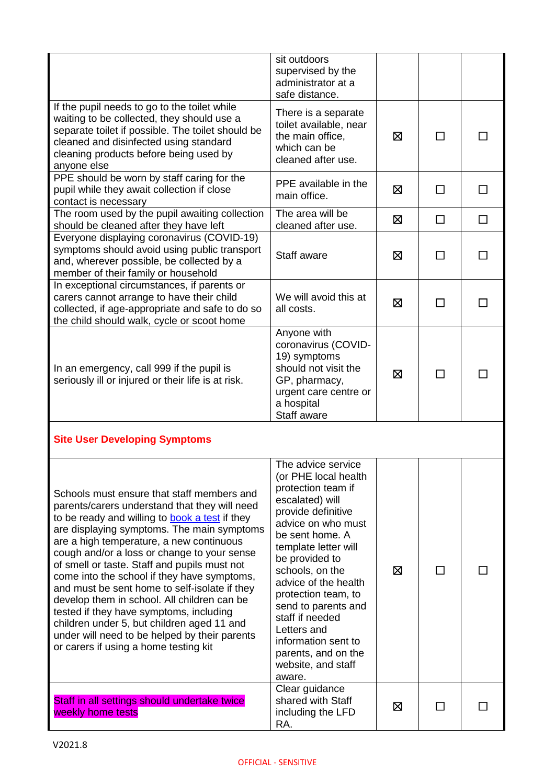|                                                                                                                                                                                                                                                                                                                                                                                                                                                                                                                                                                                                                                                                          | sit outdoors<br>supervised by the<br>administrator at a<br>safe distance.                                                                                                                                                                                                                                                                                                                             |   |        |   |
|--------------------------------------------------------------------------------------------------------------------------------------------------------------------------------------------------------------------------------------------------------------------------------------------------------------------------------------------------------------------------------------------------------------------------------------------------------------------------------------------------------------------------------------------------------------------------------------------------------------------------------------------------------------------------|-------------------------------------------------------------------------------------------------------------------------------------------------------------------------------------------------------------------------------------------------------------------------------------------------------------------------------------------------------------------------------------------------------|---|--------|---|
| If the pupil needs to go to the toilet while<br>waiting to be collected, they should use a<br>separate toilet if possible. The toilet should be<br>cleaned and disinfected using standard<br>cleaning products before being used by<br>anyone else                                                                                                                                                                                                                                                                                                                                                                                                                       | There is a separate<br>toilet available, near<br>the main office,<br>which can be<br>cleaned after use.                                                                                                                                                                                                                                                                                               | 区 | П      |   |
| PPE should be worn by staff caring for the<br>pupil while they await collection if close<br>contact is necessary                                                                                                                                                                                                                                                                                                                                                                                                                                                                                                                                                         | PPE available in the<br>main office.                                                                                                                                                                                                                                                                                                                                                                  | 区 | ΙI     |   |
| The room used by the pupil awaiting collection<br>should be cleaned after they have left                                                                                                                                                                                                                                                                                                                                                                                                                                                                                                                                                                                 | The area will be<br>cleaned after use.                                                                                                                                                                                                                                                                                                                                                                | ⊠ | $\Box$ | □ |
| Everyone displaying coronavirus (COVID-19)<br>symptoms should avoid using public transport<br>and, wherever possible, be collected by a<br>member of their family or household                                                                                                                                                                                                                                                                                                                                                                                                                                                                                           | Staff aware                                                                                                                                                                                                                                                                                                                                                                                           | ⊠ | $\Box$ |   |
| In exceptional circumstances, if parents or<br>carers cannot arrange to have their child<br>collected, if age-appropriate and safe to do so<br>the child should walk, cycle or scoot home                                                                                                                                                                                                                                                                                                                                                                                                                                                                                | We will avoid this at<br>all costs.                                                                                                                                                                                                                                                                                                                                                                   | ⊠ | ΙI     |   |
| In an emergency, call 999 if the pupil is<br>seriously ill or injured or their life is at risk.                                                                                                                                                                                                                                                                                                                                                                                                                                                                                                                                                                          | Anyone with<br>coronavirus (COVID-<br>19) symptoms<br>should not visit the<br>GP, pharmacy,<br>urgent care centre or<br>a hospital<br>Staff aware                                                                                                                                                                                                                                                     | ⊠ |        |   |
| <b>Site User Developing Symptoms</b>                                                                                                                                                                                                                                                                                                                                                                                                                                                                                                                                                                                                                                     |                                                                                                                                                                                                                                                                                                                                                                                                       |   |        |   |
| Schools must ensure that staff members and<br>parents/carers understand that they will need<br>to be ready and willing to book a test if they<br>are displaying symptoms. The main symptoms<br>are a high temperature, a new continuous<br>cough and/or a loss or change to your sense<br>of smell or taste. Staff and pupils must not<br>come into the school if they have symptoms,<br>and must be sent home to self-isolate if they<br>develop them in school. All children can be<br>tested if they have symptoms, including<br>children under 5, but children aged 11 and<br>under will need to be helped by their parents<br>or carers if using a home testing kit | The advice service<br>(or PHE local health<br>protection team if<br>escalated) will<br>provide definitive<br>advice on who must<br>be sent home. A<br>template letter will<br>be provided to<br>schools, on the<br>advice of the health<br>protection team, to<br>send to parents and<br>staff if needed<br>Letters and<br>information sent to<br>parents, and on the<br>website, and staff<br>aware. | ⊠ | $\Box$ |   |
| Staff in all settings should undertake twice<br>weekly home tests                                                                                                                                                                                                                                                                                                                                                                                                                                                                                                                                                                                                        | Clear guidance<br>shared with Staff<br>including the LFD<br>RA.                                                                                                                                                                                                                                                                                                                                       | ⊠ | ΙI     |   |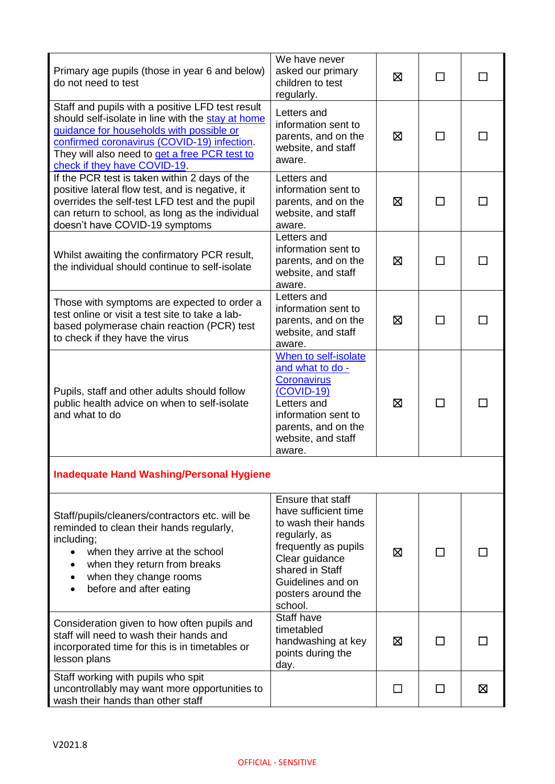| Primary age pupils (those in year 6 and below)<br>do not need to test                                                                                                                                                                                                             | We have never<br>asked our primary<br>children to test<br>regularly.                                                                                                                                 | ⊠ | $\mathsf{L}$ |   |
|-----------------------------------------------------------------------------------------------------------------------------------------------------------------------------------------------------------------------------------------------------------------------------------|------------------------------------------------------------------------------------------------------------------------------------------------------------------------------------------------------|---|--------------|---|
| Staff and pupils with a positive LFD test result<br>should self-isolate in line with the stay at home<br>guidance for households with possible or<br>confirmed coronavirus (COVID-19) infection.<br>They will also need to get a free PCR test to<br>check if they have COVID-19. | Letters and<br>information sent to<br>parents, and on the<br>website, and staff<br>aware.                                                                                                            | ⊠ |              |   |
| If the PCR test is taken within 2 days of the<br>positive lateral flow test, and is negative, it<br>overrides the self-test LFD test and the pupil<br>can return to school, as long as the individual<br>doesn't have COVID-19 symptoms                                           | Letters and<br>information sent to<br>parents, and on the<br>website, and staff<br>aware.                                                                                                            | 区 |              |   |
| Whilst awaiting the confirmatory PCR result,<br>the individual should continue to self-isolate                                                                                                                                                                                    | Letters and<br>information sent to<br>parents, and on the<br>website, and staff<br>aware.                                                                                                            | ⊠ |              |   |
| Those with symptoms are expected to order a<br>test online or visit a test site to take a lab-<br>based polymerase chain reaction (PCR) test<br>to check if they have the virus                                                                                                   | Letters and<br>information sent to<br>parents, and on the<br>website, and staff<br>aware.                                                                                                            | ⊠ |              |   |
| Pupils, staff and other adults should follow<br>public health advice on when to self-isolate<br>and what to do                                                                                                                                                                    | When to self-isolate<br>and what to do -<br>Coronavirus<br>$(COVID-19)$<br>Letters and<br>information sent to<br>parents, and on the<br>website, and staff<br>aware.                                 | ⊠ |              |   |
| <b>Inadequate Hand Washing/Personal Hygiene</b>                                                                                                                                                                                                                                   |                                                                                                                                                                                                      |   |              |   |
| Staff/pupils/cleaners/contractors etc. will be<br>reminded to clean their hands regularly,<br>including;<br>when they arrive at the school<br>when they return from breaks<br>when they change rooms<br>before and after eating                                                   | Ensure that staff<br>have sufficient time<br>to wash their hands<br>regularly, as<br>frequently as pupils<br>Clear guidance<br>shared in Staff<br>Guidelines and on<br>posters around the<br>school. | ⊠ |              |   |
| Consideration given to how often pupils and<br>staff will need to wash their hands and<br>incorporated time for this is in timetables or<br>lesson plans                                                                                                                          | Staff have<br>timetabled<br>handwashing at key<br>points during the<br>day.                                                                                                                          | ⊠ | ΙI           |   |
| Staff working with pupils who spit<br>uncontrollably may want more opportunities to<br>wash their hands than other staff                                                                                                                                                          |                                                                                                                                                                                                      | □ | $\mathsf{L}$ | 区 |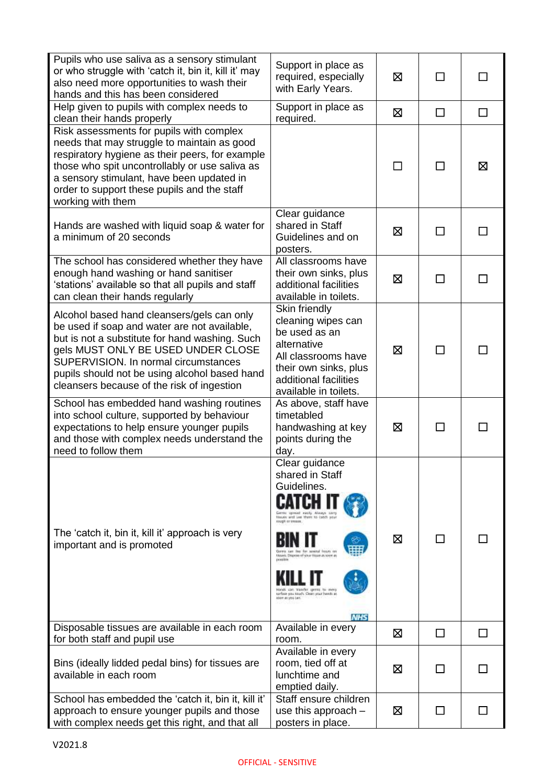| Pupils who use saliva as a sensory stimulant<br>or who struggle with 'catch it, bin it, kill it' may<br>also need more opportunities to wash their<br>hands and this has been considered                                                                                                                                  | Support in place as<br>required, especially<br>with Early Years.                                                                                                                                                                                                                                         | 区 | $\mathsf{L}$ | ΙI      |
|---------------------------------------------------------------------------------------------------------------------------------------------------------------------------------------------------------------------------------------------------------------------------------------------------------------------------|----------------------------------------------------------------------------------------------------------------------------------------------------------------------------------------------------------------------------------------------------------------------------------------------------------|---|--------------|---------|
| Help given to pupils with complex needs to<br>clean their hands properly                                                                                                                                                                                                                                                  | Support in place as<br>required.                                                                                                                                                                                                                                                                         | ⊠ | □            | $\Box$  |
| Risk assessments for pupils with complex<br>needs that may struggle to maintain as good<br>respiratory hygiene as their peers, for example<br>those who spit uncontrollably or use saliva as<br>a sensory stimulant, have been updated in<br>order to support these pupils and the staff<br>working with them             |                                                                                                                                                                                                                                                                                                          | П | ΙI           | 区       |
| Hands are washed with liquid soap & water for<br>a minimum of 20 seconds                                                                                                                                                                                                                                                  | Clear guidance<br>shared in Staff<br>Guidelines and on<br>posters.                                                                                                                                                                                                                                       | ⊠ | ΙI           |         |
| The school has considered whether they have<br>enough hand washing or hand sanitiser<br>'stations' available so that all pupils and staff<br>can clean their hands regularly                                                                                                                                              | All classrooms have<br>their own sinks, plus<br>additional facilities<br>available in toilets.                                                                                                                                                                                                           | 区 | П            |         |
| Alcohol based hand cleansers/gels can only<br>be used if soap and water are not available,<br>but is not a substitute for hand washing. Such<br>gels MUST ONLY BE USED UNDER CLOSE<br>SUPERVISION. In normal circumstances<br>pupils should not be using alcohol based hand<br>cleansers because of the risk of ingestion | Skin friendly<br>cleaning wipes can<br>be used as an<br>alternative<br>All classrooms have<br>their own sinks, plus<br>additional facilities<br>available in toilets.                                                                                                                                    | ⊠ | П            |         |
| School has embedded hand washing routines<br>into school culture, supported by behaviour<br>expectations to help ensure younger pupils<br>and those with complex needs understand the<br>need to follow them                                                                                                              | As above, staff have<br>timetabled<br>handwashing at key<br>points during the<br>day.                                                                                                                                                                                                                    | ⊠ | П            |         |
| The 'catch it, bin it, kill it' approach is very<br>important and is promoted                                                                                                                                                                                                                                             | Clear guidance<br>shared in Staff<br>Guidelines.<br>Gerras apresed easily Always sam-<br>tionals and has them to catch and<br><b>KNOCK OF STORES</b><br>frours re<br>m. Dispese of your Hisser Js soon at<br><b>DOMESTIC</b><br>sarface you touch. Clean your hands at<br>spon as you can.<br><b>NHS</b> | ⊠ | ΙI           |         |
| Disposable tissues are available in each room<br>for both staff and pupil use                                                                                                                                                                                                                                             | Available in every<br>room.                                                                                                                                                                                                                                                                              | ⊠ | □            | $\perp$ |
| Bins (ideally lidded pedal bins) for tissues are<br>available in each room                                                                                                                                                                                                                                                | Available in every<br>room, tied off at<br>lunchtime and<br>emptied daily.                                                                                                                                                                                                                               | ⊠ |              |         |
| School has embedded the 'catch it, bin it, kill it'<br>approach to ensure younger pupils and those<br>with complex needs get this right, and that all                                                                                                                                                                     | Staff ensure children<br>use this approach $-$<br>posters in place.                                                                                                                                                                                                                                      | ⊠ | $\mathsf{L}$ |         |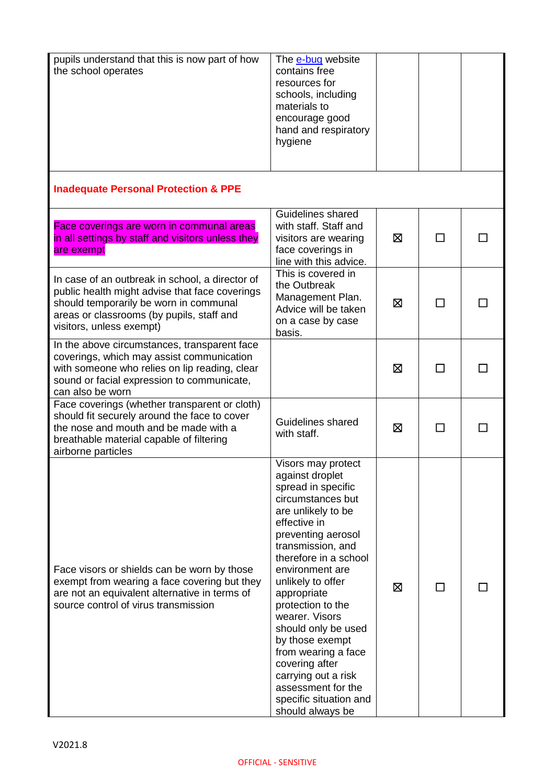| pupils understand that this is now part of how<br>the school operates                                                                                                                                                | The e-bug website<br>contains free<br>resources for<br>schools, including<br>materials to<br>encourage good<br>hand and respiratory<br>hygiene                                                                                                                                                                                                                                                                                                                         |   |              |  |
|----------------------------------------------------------------------------------------------------------------------------------------------------------------------------------------------------------------------|------------------------------------------------------------------------------------------------------------------------------------------------------------------------------------------------------------------------------------------------------------------------------------------------------------------------------------------------------------------------------------------------------------------------------------------------------------------------|---|--------------|--|
| <b>Inadequate Personal Protection &amp; PPE</b>                                                                                                                                                                      |                                                                                                                                                                                                                                                                                                                                                                                                                                                                        |   |              |  |
| Face coverings are worn in communal areas<br>in all settings by staff and visitors unless they<br>are exempt                                                                                                         | Guidelines shared<br>with staff. Staff and<br>visitors are wearing<br>face coverings in<br>line with this advice.                                                                                                                                                                                                                                                                                                                                                      | ⊠ | $\Box$       |  |
| In case of an outbreak in school, a director of<br>public health might advise that face coverings<br>should temporarily be worn in communal<br>areas or classrooms (by pupils, staff and<br>visitors, unless exempt) | This is covered in<br>the Outbreak<br>Management Plan.<br>Advice will be taken<br>on a case by case<br>basis.                                                                                                                                                                                                                                                                                                                                                          | ⊠ |              |  |
| In the above circumstances, transparent face<br>coverings, which may assist communication<br>with someone who relies on lip reading, clear<br>sound or facial expression to communicate,<br>can also be worn         |                                                                                                                                                                                                                                                                                                                                                                                                                                                                        | ⊠ | П            |  |
| Face coverings (whether transparent or cloth)<br>should fit securely around the face to cover<br>the nose and mouth and be made with a<br>breathable material capable of filtering<br>airborne particles             | Guidelines shared<br>with staff.                                                                                                                                                                                                                                                                                                                                                                                                                                       | ⊠ | $\mathbf{I}$ |  |
| Face visors or shields can be worn by those<br>exempt from wearing a face covering but they<br>are not an equivalent alternative in terms of<br>source control of virus transmission                                 | Visors may protect<br>against droplet<br>spread in specific<br>circumstances but<br>are unlikely to be<br>effective in<br>preventing aerosol<br>transmission, and<br>therefore in a school<br>environment are<br>unlikely to offer<br>appropriate<br>protection to the<br>wearer. Visors<br>should only be used<br>by those exempt<br>from wearing a face<br>covering after<br>carrying out a risk<br>assessment for the<br>specific situation and<br>should always be | ⊠ |              |  |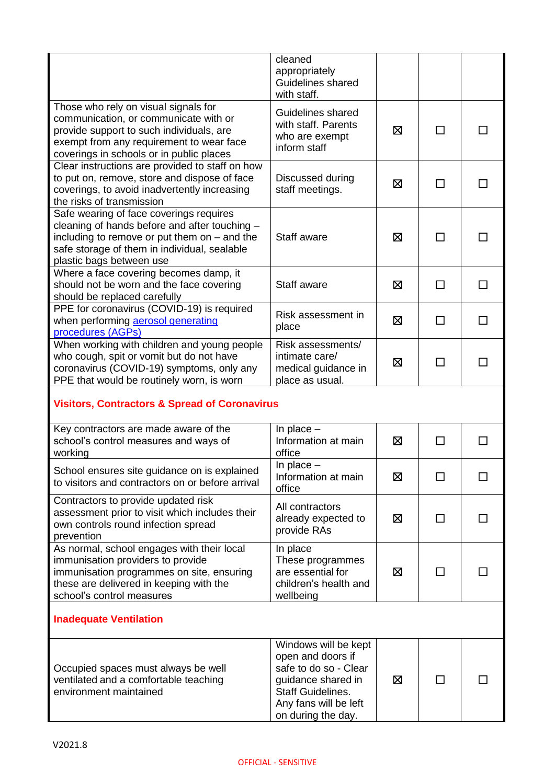|                                                                                                                                                                                                                        | cleaned<br>appropriately<br>Guidelines shared<br>with staff.                             |   |              |   |  |
|------------------------------------------------------------------------------------------------------------------------------------------------------------------------------------------------------------------------|------------------------------------------------------------------------------------------|---|--------------|---|--|
| Those who rely on visual signals for<br>communication, or communicate with or<br>provide support to such individuals, are<br>exempt from any requirement to wear face<br>coverings in schools or in public places      | Guidelines shared<br>with staff. Parents<br>who are exempt<br>inform staff               | 区 | ΙI           |   |  |
| Clear instructions are provided to staff on how<br>to put on, remove, store and dispose of face<br>coverings, to avoid inadvertently increasing<br>the risks of transmission                                           | Discussed during<br>staff meetings.                                                      | ⊠ |              |   |  |
| Safe wearing of face coverings requires<br>cleaning of hands before and after touching -<br>including to remove or put them on $-$ and the<br>safe storage of them in individual, sealable<br>plastic bags between use | Staff aware                                                                              | ⊠ | П            |   |  |
| Where a face covering becomes damp, it<br>should not be worn and the face covering<br>should be replaced carefully                                                                                                     | Staff aware                                                                              | ⊠ | $\mathsf{L}$ |   |  |
| PPE for coronavirus (COVID-19) is required<br>when performing aerosol generating<br>procedures (AGPs)                                                                                                                  | Risk assessment in<br>place                                                              | ⊠ | П            |   |  |
| When working with children and young people<br>who cough, spit or vomit but do not have<br>coronavirus (COVID-19) symptoms, only any<br>PPE that would be routinely worn, is worn                                      | Risk assessments/<br>intimate care/<br>medical guidance in<br>place as usual.            | ⊠ |              |   |  |
| <b>Visitors, Contractors &amp; Spread of Coronavirus</b>                                                                                                                                                               |                                                                                          |   |              |   |  |
| Key contractors are made aware of the<br>school's control measures and ways of<br>working                                                                                                                              | In place $-$<br>Information at main<br>office                                            | 区 | $\mathsf{L}$ |   |  |
| School ensures site guidance on is explained<br>to visitors and contractors on or before arrival                                                                                                                       | In place $-$<br>Information at main<br>office                                            | 区 | П            | П |  |
| Contractors to provide updated risk<br>assessment prior to visit which includes their<br>own controls round infection spread<br>prevention                                                                             | All contractors<br>already expected to<br>provide RAs                                    | 区 | П            |   |  |
| As normal, school engages with their local<br>immunisation providers to provide<br>immunisation programmes on site, ensuring<br>these are delivered in keeping with the<br>school's control measures                   | In place<br>These programmes<br>are essential for<br>children's health and<br>wellbeing  | 区 | □            |   |  |
| <b>Inadequate Ventilation</b>                                                                                                                                                                                          |                                                                                          |   |              |   |  |
| Occupied spaces must always be well<br>ventilated and a comfortable teaching                                                                                                                                           | Windows will be kept<br>open and doors if<br>safe to do so - Clear<br>guidance shared in | ⊠ | П            |   |  |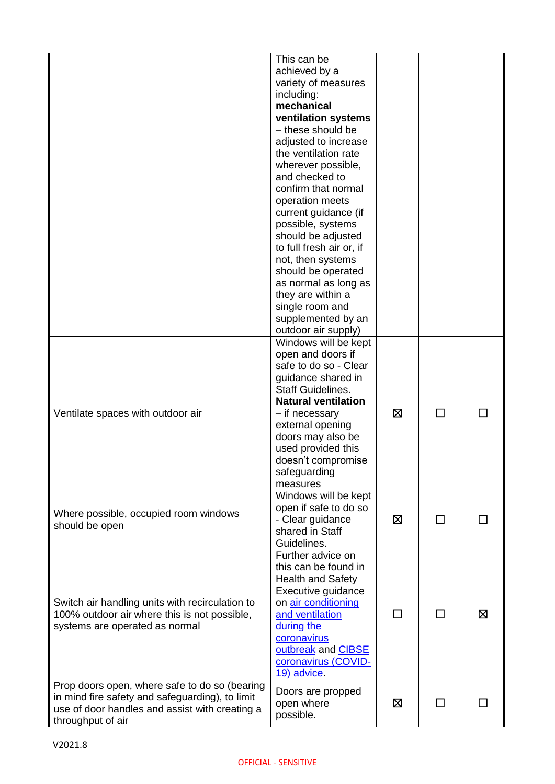|                                                                                                                                                                         | This can be<br>achieved by a<br>variety of measures<br>including:<br>mechanical<br>ventilation systems<br>- these should be<br>adjusted to increase<br>the ventilation rate<br>wherever possible,<br>and checked to<br>confirm that normal<br>operation meets<br>current guidance (if<br>possible, systems<br>should be adjusted<br>to full fresh air or, if<br>not, then systems<br>should be operated<br>as normal as long as<br>they are within a<br>single room and<br>supplemented by an<br>outdoor air supply) |   |              |   |
|-------------------------------------------------------------------------------------------------------------------------------------------------------------------------|----------------------------------------------------------------------------------------------------------------------------------------------------------------------------------------------------------------------------------------------------------------------------------------------------------------------------------------------------------------------------------------------------------------------------------------------------------------------------------------------------------------------|---|--------------|---|
| Ventilate spaces with outdoor air                                                                                                                                       | Windows will be kept<br>open and doors if<br>safe to do so - Clear<br>guidance shared in<br><b>Staff Guidelines.</b><br><b>Natural ventilation</b><br>- if necessary<br>external opening<br>doors may also be<br>used provided this<br>doesn't compromise<br>safeguarding<br>measures                                                                                                                                                                                                                                | ⊠ | П            |   |
| Where possible, occupied room windows<br>should be open                                                                                                                 | Windows will be kept<br>open if safe to do so<br>- Clear guidance<br>shared in Staff<br>Guidelines.                                                                                                                                                                                                                                                                                                                                                                                                                  | ⊠ | $\mathbf{L}$ |   |
| Switch air handling units with recirculation to<br>100% outdoor air where this is not possible,<br>systems are operated as normal                                       | Further advice on<br>this can be found in<br><b>Health and Safety</b><br>Executive guidance<br>on air conditioning<br>and ventilation<br>during the<br>coronavirus<br>outbreak and CIBSE<br>coronavirus (COVID-<br>19) advice                                                                                                                                                                                                                                                                                        |   |              | ⊠ |
| Prop doors open, where safe to do so (bearing<br>in mind fire safety and safeguarding), to limit<br>use of door handles and assist with creating a<br>throughput of air | Doors are propped<br>open where<br>possible.                                                                                                                                                                                                                                                                                                                                                                                                                                                                         | ⊠ | П            |   |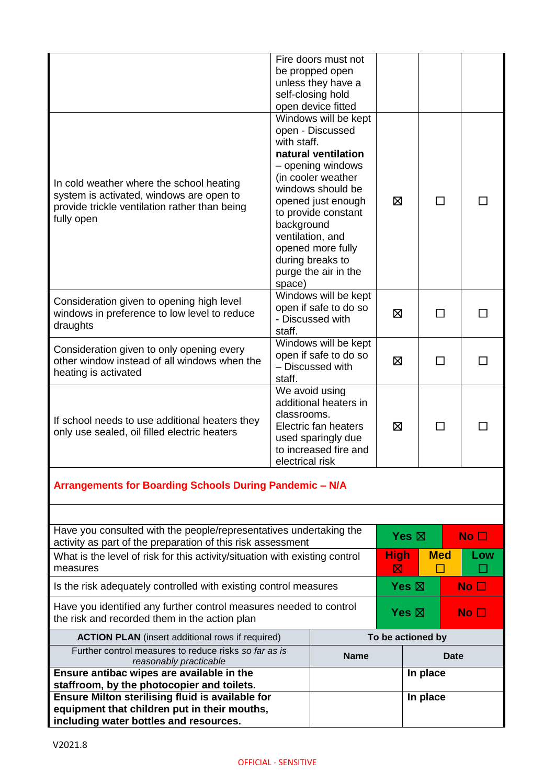| Ensure Milton sterilising fluid is available for<br>equipment that children put in their mouths,<br>including water bottles and resources.             |                                                                                                                                                  |                                                                                                                                                                                                                                                                                                                                                       | In place                     |                 |              |                 |  |
|--------------------------------------------------------------------------------------------------------------------------------------------------------|--------------------------------------------------------------------------------------------------------------------------------------------------|-------------------------------------------------------------------------------------------------------------------------------------------------------------------------------------------------------------------------------------------------------------------------------------------------------------------------------------------------------|------------------------------|-----------------|--------------|-----------------|--|
| Ensure antibac wipes are available in the<br>staffroom, by the photocopier and toilets.                                                                |                                                                                                                                                  | In place                                                                                                                                                                                                                                                                                                                                              |                              |                 |              |                 |  |
| Further control measures to reduce risks so far as is<br>reasonably practicable                                                                        |                                                                                                                                                  | <b>Name</b><br>Date                                                                                                                                                                                                                                                                                                                                   |                              |                 |              |                 |  |
| <b>ACTION PLAN</b> (insert additional rows if required)                                                                                                |                                                                                                                                                  | To be actioned by                                                                                                                                                                                                                                                                                                                                     |                              |                 |              |                 |  |
| Have you identified any further control measures needed to control<br>the risk and recorded them in the action plan                                    |                                                                                                                                                  |                                                                                                                                                                                                                                                                                                                                                       | Yes $\boxtimes$<br>No $\Box$ |                 |              |                 |  |
| Is the risk adequately controlled with existing control measures                                                                                       |                                                                                                                                                  | Yes $\boxtimes$<br>No <sub>1</sub>                                                                                                                                                                                                                                                                                                                    |                              |                 |              |                 |  |
| activity as part of the preparation of this risk assessment<br>What is the level of risk for this activity/situation with existing control<br>measures |                                                                                                                                                  | <b>High</b><br>⊠                                                                                                                                                                                                                                                                                                                                      |                              | <b>Med</b>      | Low          |                 |  |
| Have you consulted with the people/representatives undertaking the                                                                                     |                                                                                                                                                  |                                                                                                                                                                                                                                                                                                                                                       |                              | Yes $\boxtimes$ |              | No <sub>1</sub> |  |
| Arrangements for Boarding Schools During Pandemic - N/A                                                                                                |                                                                                                                                                  |                                                                                                                                                                                                                                                                                                                                                       |                              |                 |              |                 |  |
| If school needs to use additional heaters they<br>only use sealed, oil filled electric heaters                                                         | We avoid using<br>additional heaters in<br>classrooms.<br>Electric fan heaters<br>used sparingly due<br>to increased fire and<br>electrical risk |                                                                                                                                                                                                                                                                                                                                                       | 冈                            |                 | П            |                 |  |
| Consideration given to only opening every<br>other window instead of all windows when the<br>heating is activated                                      | Windows will be kept<br>open if safe to do so<br>- Discussed with<br>staff.                                                                      |                                                                                                                                                                                                                                                                                                                                                       | 区                            |                 |              |                 |  |
| Consideration given to opening high level<br>windows in preference to low level to reduce<br>draughts                                                  | Windows will be kept<br>open if safe to do so<br>- Discussed with<br>staff.                                                                      |                                                                                                                                                                                                                                                                                                                                                       | ⊠                            |                 | $\mathsf{L}$ |                 |  |
| In cold weather where the school heating<br>system is activated, windows are open to<br>provide trickle ventilation rather than being<br>fully open    | with staff.<br>background<br>space)                                                                                                              | be propped open<br>unless they have a<br>self-closing hold<br>open device fitted<br>Windows will be kept<br>open - Discussed<br>natural ventilation<br>- opening windows<br>(in cooler weather<br>windows should be<br>opened just enough<br>to provide constant<br>ventilation, and<br>opened more fully<br>during breaks to<br>purge the air in the | ⊠                            |                 | $\mathsf{L}$ |                 |  |
|                                                                                                                                                        |                                                                                                                                                  | Fire doors must not                                                                                                                                                                                                                                                                                                                                   |                              |                 |              |                 |  |